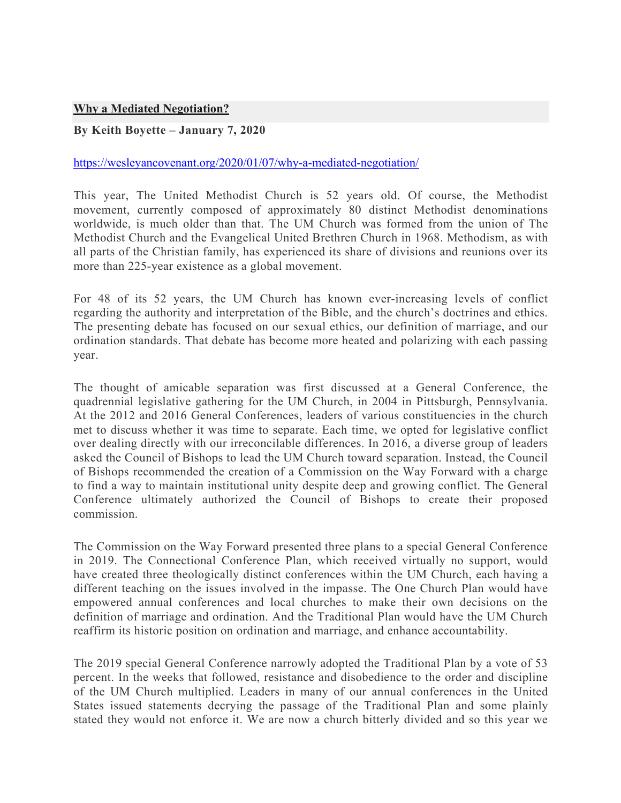## **Why a Mediated Negotiation?**

## **By Keith Boyette – January 7, 2020**

## https://wesleyancovenant.org/2020/01/07/why-a-mediated-negotiation/

This year, The United Methodist Church is 52 years old. Of course, the Methodist movement, currently composed of approximately 80 distinct Methodist denominations worldwide, is much older than that. The UM Church was formed from the union of The Methodist Church and the Evangelical United Brethren Church in 1968. Methodism, as with all parts of the Christian family, has experienced its share of divisions and reunions over its more than 225-year existence as a global movement.

For 48 of its 52 years, the UM Church has known ever-increasing levels of conflict regarding the authority and interpretation of the Bible, and the church's doctrines and ethics. The presenting debate has focused on our sexual ethics, our definition of marriage, and our ordination standards. That debate has become more heated and polarizing with each passing year.

The thought of amicable separation was first discussed at a General Conference, the quadrennial legislative gathering for the UM Church, in 2004 in Pittsburgh, Pennsylvania. At the 2012 and 2016 General Conferences, leaders of various constituencies in the church met to discuss whether it was time to separate. Each time, we opted for legislative conflict over dealing directly with our irreconcilable differences. In 2016, a diverse group of leaders asked the Council of Bishops to lead the UM Church toward separation. Instead, the Council of Bishops recommended the creation of a Commission on the Way Forward with a charge to find a way to maintain institutional unity despite deep and growing conflict. The General Conference ultimately authorized the Council of Bishops to create their proposed commission.

The Commission on the Way Forward presented three plans to a special General Conference in 2019. The Connectional Conference Plan, which received virtually no support, would have created three theologically distinct conferences within the UM Church, each having a different teaching on the issues involved in the impasse. The One Church Plan would have empowered annual conferences and local churches to make their own decisions on the definition of marriage and ordination. And the Traditional Plan would have the UM Church reaffirm its historic position on ordination and marriage, and enhance accountability.

The 2019 special General Conference narrowly adopted the Traditional Plan by a vote of 53 percent. In the weeks that followed, resistance and disobedience to the order and discipline of the UM Church multiplied. Leaders in many of our annual conferences in the United States issued statements decrying the passage of the Traditional Plan and some plainly stated they would not enforce it. We are now a church bitterly divided and so this year we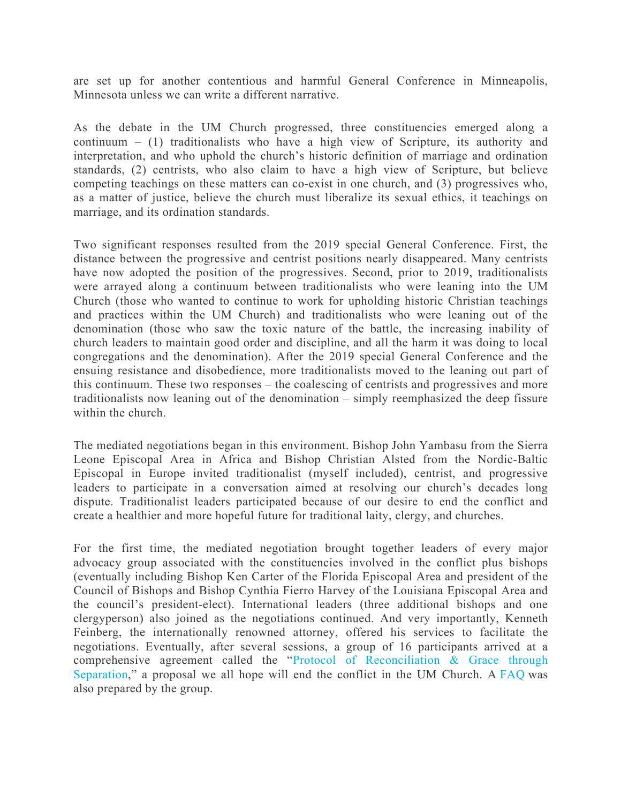are set up for another contentious and harmful General Conference in Minneapolis, Minnesota unless we can write a different narrative.

As the debate in the UM Church progressed, three constituencies emerged along a continuum – (1) traditionalists who have a high view of Scripture, its authority and interpretation, and who uphold the church's historic definition of marriage and ordination standards, (2) centrists, who also claim to have a high view of Scripture, but believe competing teachings on these matters can co-exist in one church, and (3) progressives who, as a matter of justice, believe the church must liberalize its sexual ethics, it teachings on marriage, and its ordination standards.

Two significant responses resulted from the 2019 special General Conference. First, the distance between the progressive and centrist positions nearly disappeared. Many centrists have now adopted the position of the progressives. Second, prior to 2019, traditionalists were arrayed along a continuum between traditionalists who were leaning into the UM Church (those who wanted to continue to work for upholding historic Christian teachings and practices within the UM Church) and traditionalists who were leaning out of the denomination (those who saw the toxic nature of the battle, the increasing inability of church leaders to maintain good order and discipline, and all the harm it was doing to local congregations and the denomination). After the 2019 special General Conference and the ensuing resistance and disobedience, more traditionalists moved to the leaning out part of this continuum. These two responses – the coalescing of centrists and progressives and more traditionalists now leaning out of the denomination – simply reemphasized the deep fissure within the church.

The mediated negotiations began in this environment. Bishop John Yambasu from the Sierra Leone Episcopal Area in Africa and Bishop Christian Alsted from the Nordic-Baltic Episcopal in Europe invited traditionalist (myself included), centrist, and progressive leaders to participate in a conversation aimed at resolving our church's decades long dispute. Traditionalist leaders participated because of our desire to end the conflict and create a healthier and more hopeful future for traditional laity, clergy, and churches.

For the first time, the mediated negotiation brought together leaders of every major advocacy group associated with the constituencies involved in the conflict plus bishops (eventually including Bishop Ken Carter of the Florida Episcopal Area and president of the Council of Bishops and Bishop Cynthia Fierro Harvey of the Louisiana Episcopal Area and the council's president-elect). International leaders (three additional bishops and one clergyperson) also joined as the negotiations continued. And very importantly, Kenneth Feinberg, the internationally renowned attorney, offered his services to facilitate the negotiations. Eventually, after several sessions, a group of 16 participants arrived at a comprehensive agreement called the "Protocol of Reconciliation & Grace through Separation," a proposal we all hope will end the conflict in the UM Church. A FAQ was also prepared by the group.